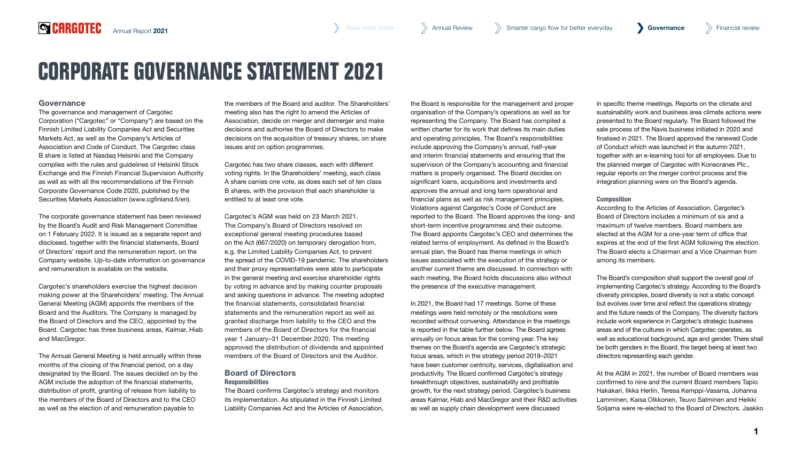# **CORPORATE GOVERNANCE STATEMENT 2021**

# Governance

The governance and management of Cargotec Corporation ("Cargotec" or "Company") are based on the Finnish Limited Liability Companies Act and Securities Markets Act, as well as the Company's Articles of Association and Code of Conduct. The Cargotec class B share is listed at Nasdaq Helsinki and the Company complies with the rules and guidelines of Helsinki Stock Exchange and the Finnish Financial Supervision Authority as well as with all the recommendations of the Finnish Corporate Governance Code 2020, published by the Securities Markets Association [\(www.cgfinland.fi/en\).](https://cgfinland.fi/)

The corporate governance statement has been reviewed by the Board's Audit and Risk Management Committee on 1 February 2022. It is issued as a separate report and disclosed, together with the financial statements, Board of Directors' report and the remuneration report, on the Company website. Up-to-date information on governance and remuneration is available on the website.

Cargotec's shareholders exercise the highest decision making power at the Shareholders' meeting. The Annual General Meeting (AGM) appoints the members of the Board and the Auditors. The Company is managed by the Board of Directors and the CEO, appointed by the Board. Cargotec has three business areas, Kalmar, Hiab and MacGregor.

The Annual General Meeting is held annually within three months of the closing of the financial period, on a day designated by the Board. The issues decided on by the AGM include the adoption of the financial statements, distribution of profit, granting of release from liability to the members of the Board of Directors and to the CEO as well as the election of and remuneration payable to

the members of the Board and auditor. The Shareholders' meeting also has the right to amend the Articles of Association, decide on merger and demerger and make decisions and authorise the Board of Directors to make decisions on the acquisition of treasury shares, on share issues and on option programmes.

Cargotec has two share classes, each with different voting rights. In the Shareholders' meeting, each class A share carries one vote, as does each set of ten class B shares, with the provision that each shareholder is entitled to at least one vote.

Cargotec's AGM was held on 23 March 2021. The Company's Board of Directors resolved on exceptional general meeting procedures based on the Act (667/2020) on temporary derogation from, e.g. the Limited Liability Companies Act, to prevent the spread of the COVID-19 pandemic. The shareholders and their proxy representatives were able to participate in the general meeting and exercise shareholder rights by voting in advance and by making counter proposals and asking questions in advance. The meeting adopted the financial statements, consolidated financial statements and the remuneration report as well as granted discharge from liability to the CEO and the members of the Board of Directors for the financial year 1 January–31 December 2020. The meeting approved the distribution of dividends and appointed members of the Board of Directors and the Auditor.

# Board of Directors **Responsibilities**

The Board confirms Cargotec's strategy and monitors its implementation. As stipulated in the Finnish Limited Liability Companies Act and the Articles of Association,

the Board is responsible for the management and proper organisation of the Company's operations as well as for representing the Company. The Board has compiled a written charter for its work that defines its main duties and operating principles. The Board's responsibilities include approving the Company's annual, half-year and interim financial statements and ensuring that the supervision of the Company's accounting and financial matters is properly organised. The Board decides on significant loans, acquisitions and investments and approves the annual and long term operational and financial plans as well as risk management principles. Violations against Cargotec's Code of Conduct are reported to the Board. The Board approves the long- and short-term incentive programmes and their outcome. The Board appoints Cargotec's CEO and determines the related terms of employment. As defined in the Board's annual plan, the Board has theme meetings in which issues associated with the execution of the strategy or another current theme are discussed. In connection with each meeting, the Board holds discussions also without the presence of the executive management.

In 2021, the Board had 17 meetings. Some of these meetings were held remotely or the resolutions were recorded without convening. Attendance in the meetings is reported in the table further below. The Board agrees annually on focus areas for the coming year. The key themes on the Board's agenda are Cargotec's strategic focus areas, which in the strategy period 2019–2021 have been customer centricity, services, digitalisation and productivity. The Board confirmed Cargotec's strategy breakthrough objectives, sustainability and profitable growth, for the next strategy period. Cargotec's business areas Kalmar, Hiab and MacGregor and their R&D activities as well as supply chain development were discussed

in specific theme meetings. Reports on the climate and sustainability work and business area climate actions were presented to the Board regularly. The Board followed the sale process of the Navis business initiated in 2020 and finalised in 2021. The Board approved the renewed Code of Conduct which was launched in the autumn 2021, together with an e-learning tool for all employees. Due to the planned merger of Cargotec with Konecranes Plc., regular reports on the merger control process and the integration planning were on the Board's agenda.

## Composition

According to the Articles of Association, Cargotec's Board of Directors includes a minimum of six and a maximum of twelve members. Board members are elected at the AGM for a one-year term of office that expires at the end of the first AGM following the election. The Board elects a Chairman and a Vice Chairman from among its members.

The Board's composition shall support the overall goal of implementing Cargotec's strategy. According to the Board's diversity principles, board diversity is not a static concept but evolves over time and reflect the operations strategy and the future needs of the Company. The diversity factors include work experience in Cargotec's strategic business areas and of the cultures in which Cargotec operates, as well as educational background, age and gender. There shall be both genders in the Board, the target being at least two directors representing each gender.

At the AGM in 2021, the number of Board members was confirmed to nine and the current Board members Tapio Hakakari, Ilkka Herlin, Teresa Kemppi-Vasama, Johanna Lamminen, Kaisa Olkkonen, Teuvo Salminen and Heikki Soljama were re-elected to the Board of Directors. Jaakko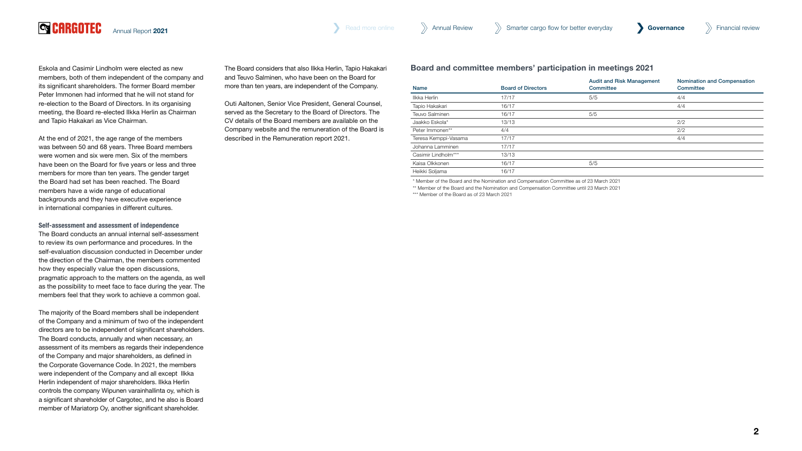

Eskola and Casimir Lindholm were elected as new members, both of them independent of the company and its significant shareholders. The former Board member Peter Immonen had informed that he will not stand for re-election to the Board of Directors. In its organising meeting, the Board re-elected Ilkka Herlin as Chairman and Tapio Hakakari as Vice Chairman.

At the end of 2021, the age range of the members was between 50 and 68 years. Three Board members were women and six were men. Six of the members have been on the Board for five years or less and three members for more than ten years. The gender target the Board had set has been reached. The Board members have a wide range of educational backgrounds and they have executive experience in international companies in different cultures.

#### Self-assessment and assessment of independence

The Board conducts an annual internal self-assessment to review its own performance and procedures. In the self-evaluation discussion conducted in December under the direction of the Chairman, the members commented how they especially value the open discussions, pragmatic approach to the matters on the agenda, as well as the possibility to meet face to face during the year. The members feel that they work to achieve a common goal.

The majority of the Board members shall be independent of the Company and a minimum of two of the independent directors are to be independent of significant shareholders. The Board conducts, annually and when necessary, an assessment of its members as regards their independence of the Company and major shareholders, as defined in the Corporate Governance Code. In 2021, the members were independent of the Company and all except Ilkka Herlin independent of major shareholders. Ilkka Herlin controls the company Wipunen varainhallinta oy, which is a significant shareholder of Cargotec, and he also is Board member of Mariatorp Oy, another significant shareholder.

The Board considers that also Ilkka Herlin, Tapio Hakakari and Teuvo Salminen, who have been on the Board for more than ten years, are independent of the Company.

Outi Aaltonen, Senior Vice President, General Counsel, served as the Secretary to the Board of Directors. The CV details of the Board members are available on the Company website and the remuneration of the Board is described in the Remuneration report 2021.

Board and committee members' participation in meetings 2021

| Name                 | <b>Board of Directors</b> | <b>Audit and Risk Management</b><br>Committee | <b>Nomination and Compensation</b><br>Committee |
|----------------------|---------------------------|-----------------------------------------------|-------------------------------------------------|
| Ilkka Herlin         | 17/17                     | 5/5                                           | 4/4                                             |
| Tapio Hakakari       | 16/17                     |                                               | 4/4                                             |
| Teuvo Salminen       | 16/17                     | 5/5                                           |                                                 |
| Jaakko Eskola*       | 13/13                     |                                               | 2/2                                             |
| Peter Immonen**      | 4/4                       |                                               | 2/2                                             |
| Teresa Kemppi-Vasama | 17/17                     |                                               | 4/4                                             |
| Johanna Lamminen     | 17/17                     |                                               |                                                 |
| Casimir Lindholm***  | 13/13                     |                                               |                                                 |
| Kaisa Olkkonen       | 16/17                     | 5/5                                           |                                                 |
| Heikki Soljama       | 16/17                     |                                               |                                                 |

\* Member of the Board and the Nomination and Compensation Committee as of 23 March 2021

\*\* Member of the Board and the Nomination and Compensation Committee until 23 March 2021

\*\*\* Member of the Board as of 23 March 2021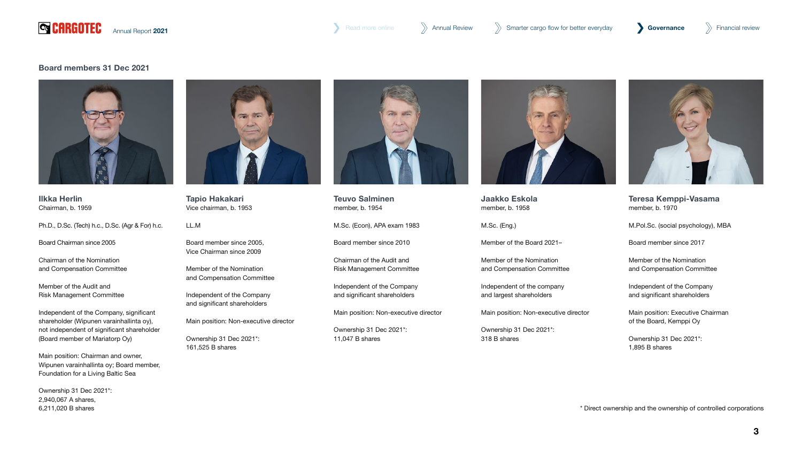

[Annual Report](#page--1-0) 2021 **State of the Covernance** [Annual Review](#page--1-0) Annual Review Annual Review Annual Report 2021 **Governance** Annual Report 2021

## Board members 31 Dec 2021



Ilkka Herlin Chairman, b. 1959

Ph.D., D.Sc. (Tech) h.c., D.Sc. (Agr & For) h.c.

Board Chairman since 2005

Chairman of the Nomination and Compensation Committee

Member of the Audit and Risk Management Committee

Independent of the Company, significant shareholder (Wipunen varainhallinta oy), not independent of significant shareholder (Board member of Mariatorp Oy)

Main position: Chairman and owner, Wipunen varainhallinta oy; Board member, Foundation for a Living Baltic Sea

Ownership 31 Dec 2021\*: 2,940,067 A shares, 6,211,020 B shares



Tapio Hakakari Vice chairman, b. 1953

LL.M

Board member since 2005, Vice Chairman since 2009

Member of the Nomination and Compensation Committee

Independent of the Company and significant shareholders

Main position: Non-executive director

Ownership 31 Dec 2021\*: 161,525 B shares



Teuvo Salminen member, b. 1954

M.Sc. (Econ), APA exam 1983

Board member since 2010

Chairman of the Audit and Risk Management Committee

Independent of the Company and significant shareholders

Main position: Non-executive director

Ownership 31 Dec 2021\*: 11,047 B shares



Jaakko Eskola member, b. 1958

M.Sc. (Eng.)

Member of the Board 2021–

Member of the Nomination and Compensation Committee

Independent of the company and largest shareholders

Main position: Non-executive director

Ownership 31 Dec 2021\*: 318 B shares



Teresa Kemppi-Vasama member, b. 1970

M.Pol.Sc. (social psychology), MBA

Board member since 2017

Member of the Nomination and Compensation Committee

Independent of the Company and significant shareholders

Main position: Executive Chairman of the Board, Kemppi Oy

Ownership 31 Dec 2021\*: 1,895 B shares

\* Direct ownership and the ownership of controlled corporations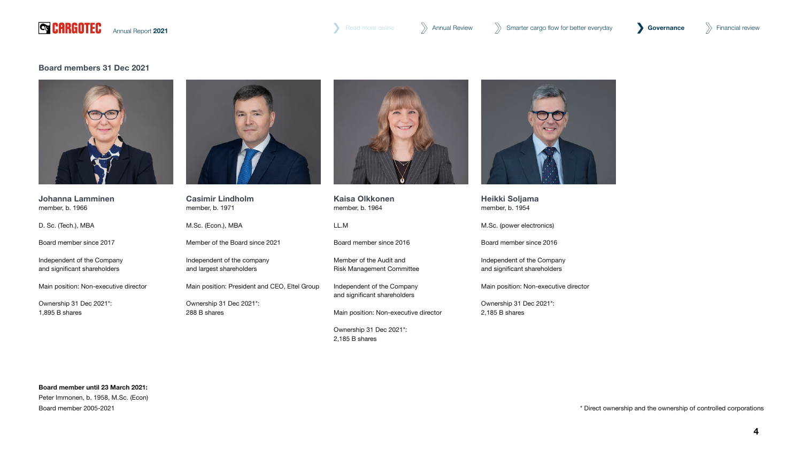

[Annual Report](#page--1-0) 2021 **State of the Covernance** [Annual Review](#page--1-0) Annual Review Annual Review Smarter cargo flow for better everyday **Governance** State Financial review

## Board members 31 Dec 2021



Johanna Lamminen member, b. 1966

D. Sc. (Tech.), MBA

Board member since 2017

Independent of the Company and significant shareholders

Main position: Non-executive director

Ownership 31 Dec 2021\*: 1,895 B shares



Casimir Lindholm member, b. 1971

M.Sc. (Econ.), MBA

Member of the Board since 2021

Independent of the company and largest shareholders

Main position: President and CEO, Eltel Group

Ownership 31 Dec 2021\*: 288 B shares



Kaisa Olkkonen member, b. 1964

LL.M

Board member since 2016

Member of the Audit and Risk Management Committee

Independent of the Company and significant shareholders

Main position: Non-executive director

Ownership 31 Dec 2021\*: 2,185 B shares



Heikki Soljama member, b. 1954

M.Sc. (power electronics)

Board member since 2016

Independent of the Company and significant shareholders

Main position: Non-executive director

Ownership 31 Dec 2021\*: 2,185 B shares

# Board member until 23 March 2021:

Peter Immonen, b. 1958, M.Sc. (Econ) Board member 2005-2021

\* Direct ownership and the ownership of controlled corporations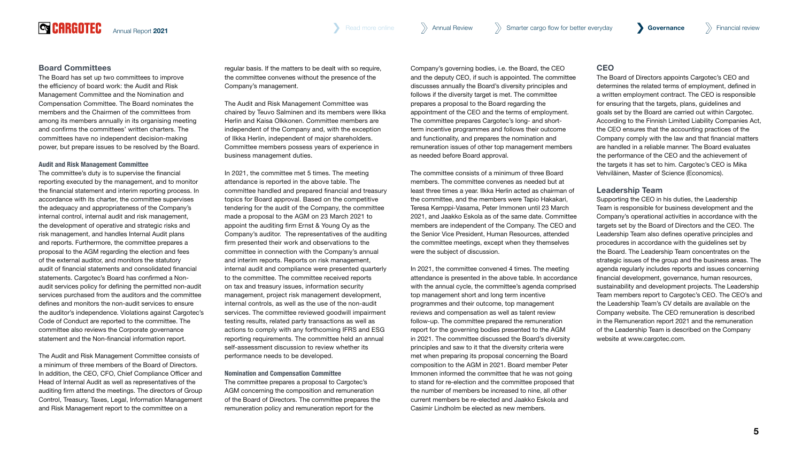# Board Committees

**QCARGOTEC** 

The Board has set up two committees to improve the efficiency of board work: the Audit and Risk Management Committee and the Nomination and Compensation Committee. The Board nominates the members and the Chairmen of the committees from among its members annually in its organising meeting and confirms the committees' written charters. The committees have no independent decision-making power, but prepare issues to be resolved by the Board.

#### Audit and Risk Management Committee

The committee's duty is to supervise the financial reporting executed by the management, and to monitor the financial statement and interim reporting process. In accordance with its charter, the committee supervises the adequacy and appropriateness of the Company's internal control, internal audit and risk management, the development of operative and strategic risks and risk management, and handles Internal Audit plans and reports. Furthermore, the committee prepares a proposal to the AGM regarding the election and fees of the external auditor, and monitors the statutory audit of financial statements and consolidated financial statements. Cargotec's Board has confirmed a Nonaudit services policy for defining the permitted non-audit services purchased from the auditors and the committee defines and monitors the non-audit services to ensure the auditor's independence. Violations against Cargotec's Code of Conduct are reported to the committee. The committee also reviews the Corporate governance statement and the Non-financial information report.

The Audit and Risk Management Committee consists of a minimum of three members of the Board of Directors. In addition, the CEO, CFO, Chief Compliance Officer and Head of Internal Audit as well as representatives of the auditing firm attend the meetings. The directors of Group Control, Treasury, Taxes, Legal, Information Management and Risk Management report to the committee on a

regular basis. If the matters to be dealt with so require, the committee convenes without the presence of the Company's management.

The Audit and Risk Management Committee was chaired by Teuvo Salminen and its members were Ilkka Herlin and Kaisa Olkkonen. Committee members are independent of the Company and, with the exception of Ilkka Herlin, independent of major shareholders. Committee members possess years of experience in business management duties.

In 2021, the committee met 5 times. The meeting attendance is reported in the above table. The committee handled and prepared financial and treasury topics for Board approval. Based on the competitive tendering for the audit of the Company, the committee made a proposal to the AGM on 23 March 2021 to appoint the auditing firm Ernst & Young Oy as the Company's auditor. The representatives of the auditing firm presented their work and observations to the committee in connection with the Company's annual and interim reports. Reports on risk management, internal audit and compliance were presented quarterly to the committee. The committee received reports on tax and treasury issues, information security management, project risk management development, internal controls, as well as the use of the non-audit services. The committee reviewed goodwill impairment testing results, related party transactions as well as actions to comply with any forthcoming IFRS and ESG reporting requirements. The committee held an annual self-assessment discussion to review whether its performance needs to be developed.

Nomination and Compensation Committee The committee prepares a proposal to Cargotec's AGM concerning the composition and remuneration of the Board of Directors. The committee prepares the remuneration policy and remuneration report for the

Company's governing bodies, i.e. the Board, the CEO and the deputy CEO, if such is appointed. The committee discusses annually the Board's diversity principles and follows if the diversity target is met. The committee prepares a proposal to the Board regarding the appointment of the CEO and the terms of employment. The committee prepares Cargotec's long- and shortterm incentive programmes and follows their outcome and functionality, and prepares the nomination and remuneration issues of other top management members as needed before Board approval.

The committee consists of a minimum of three Board members. The committee convenes as needed but at least three times a year. Ilkka Herlin acted as chairman of the committee, and the members were Tapio Hakakari, Teresa Kemppi-Vasama, Peter Immonen until 23 March 2021, and Jaakko Eskola as of the same date. Committee members are independent of the Company. The CEO and the Senior Vice President, Human Resources, attended the committee meetings, except when they themselves were the subject of discussion.

In 2021, the committee convened 4 times. The meeting attendance is presented in the above table. In accordance with the annual cycle, the committee's agenda comprised top management short and long term incentive programmes and their outcome, top management reviews and compensation as well as talent review follow-up. The committee prepared the remuneration report for the governing bodies presented to the AGM in 2021. The committee discussed the Board's diversity principles and saw to it that the diversity criteria were met when preparing its proposal concerning the Board composition to the AGM in 2021. Board member Peter Immonen informed the committee that he was not going to stand for re-election and the committee proposed that the number of members be increased to nine, all other current members be re-elected and Jaakko Eskola and Casimir Lindholm be elected as new members.

# **CEO**

The Board of Directors appoints Cargotec's CEO and determines the related terms of employment, defined in a written employment contract. The CEO is responsible for ensuring that the targets, plans, guidelines and goals set by the Board are carried out within Cargotec. According to the Finnish Limited Liability Companies Act, the CEO ensures that the accounting practices of the Company comply with the law and that financial matters are handled in a reliable manner. The Board evaluates the performance of the CEO and the achievement of the targets it has set to him. Cargotec's CEO is Mika Vehviläinen, Master of Science (Economics).

## Leadership Team

Supporting the CEO in his duties, the Leadership Team is responsible for business development and the Company's operational activities in accordance with the targets set by the Board of Directors and the CEO. The Leadership Team also defines operative principles and procedures in accordance with the guidelines set by the Board. The Leadership Team concentrates on the strategic issues of the group and the business areas. The agenda regularly includes reports and issues concerning financial development, governance, human resources, sustainability and development projects. The Leadership Team members report to Cargotec's CEO. The CEO's and the Leadership Team's CV details are available on the Company website. The CEO remuneration is described in the Remuneration report 2021 and the remuneration of the Leadership Team is described on the Company website at [www.cargotec.com](http://www.cargotec.com).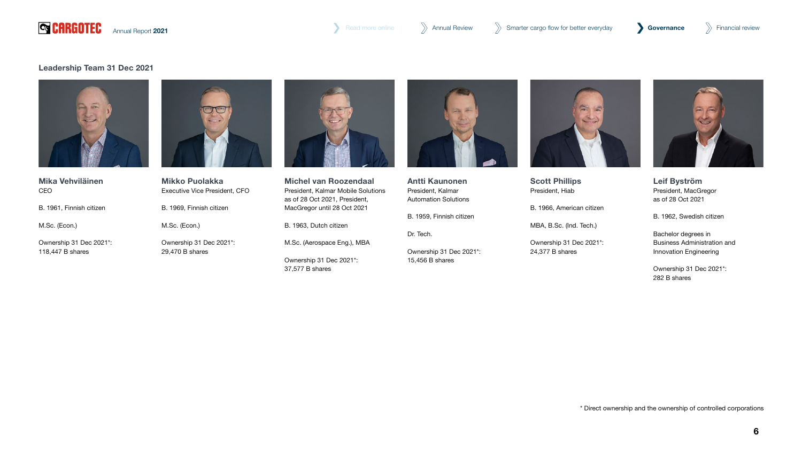

[Annual Report](#page--1-0) 2021 **State of the Covernance** [Annual Review](#page--1-0) Annual Review Annual Review Smarter cargo flow for better everyday **Governance** State Financial review

# Leadership Team 31 Dec 2021



Mika Vehviläinen CEO

B. 1961, Finnish citizen

M.Sc. (Econ.)

Ownership 31 Dec 2021\*: 118,447 B shares



Mikko Puolakka Executive Vice President, CFO B. 1969, Finnish citizen M.Sc. (Econ.) Ownership 31 Dec 2021\*:

29,470 B shares



Michel van Roozendaal President, Kalmar Mobile Solutions as of 28 Oct 2021, President, MacGregor until 28 Oct 2021

B. 1963, Dutch citizen

M.Sc. (Aerospace Eng.), MBA

Ownership 31 Dec 2021\*: 37,577 B shares



Antti Kaunonen President, Kalmar Automation Solutions

B. 1959, Finnish citizen

Dr. Tech.

Ownership 31 Dec 2021\*: 15,456 B shares



Scott Phillips President, Hiab

B. 1966, American citizen

MBA, B.Sc. (Ind. Tech.)

Ownership 31 Dec 2021\*: 24,377 B shares



Leif Byström President, MacGregor as of 28 Oct 2021

B. 1962, Swedish citizen

Bachelor degrees in Business Administration and Innovation Engineering

Ownership 31 Dec 2021\*: 282 B shares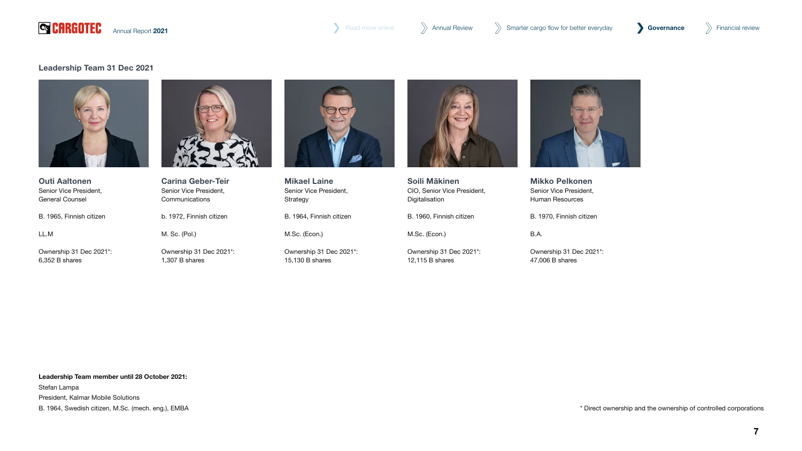

# Leadership Team 31 Dec 2021





Senior Vice President, General Counsel B. 1965, Finnish citizen LL.M

Ownership 31 Dec 2021\*: 6,352 B shares



Carina Geber-Teir Senior Vice President, **Communications** b. 1972, Finnish citizen M. Sc. (Pol.) Ownership 31 Dec 2021\*:

1,307 B shares



Mikael Laine Senior Vice President, Strategy B. 1964, Finnish citizen

M.Sc. (Econ.)

Ownership 31 Dec 2021\*: 15,130 B shares



Soili Mäkinen CIO, Senior Vice President, Digitalisation

B. 1960, Finnish citizen

M.Sc. (Econ.)

Ownership 31 Dec 2021\*: 12,115 B shares



Mikko Pelkonen Senior Vice President, Human Resources

B. 1970, Finnish citizen

# B.A.

Ownership 31 Dec 2021\*: 47,006 B shares

Leadership Team member until 28 October 2021: Stefan Lampa President, Kalmar Mobile Solutions B. 1964, Swedish citizen, M.Sc. (mech. eng.), EMBA

\* Direct ownership and the ownership of controlled corporations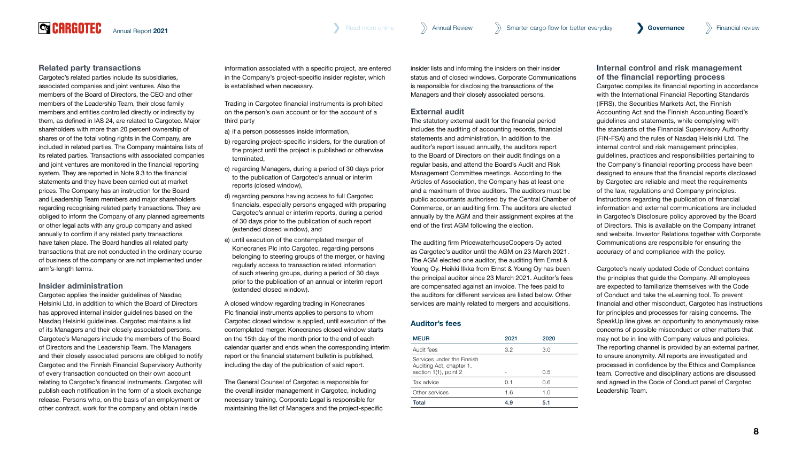[Annual Report](#page--1-0) 2021 **Governance** [Annual Review](#page--1-0) Annual Review Annual Review Smarter cargo flow for better everyday **Governance** >>>> Financial review

## Related party transactions

**QCARGOTEC** 

Cargotec's related parties include its subsidiaries, associated companies and joint ventures. Also the members of the Board of Directors, the CEO and other members of the Leadership Team, their close family members and entities controlled directly or indirectly by them, as defined in IAS 24, are related to Cargotec. Major shareholders with more than 20 percent ownership of shares or of the total voting rights in the Company, are included in related parties. The Company maintains lists of its related parties. Transactions with associated companies and joint ventures are monitored in the financial reporting system. They are reported in Note 9.3 to the financial statements and they have been carried out at market prices. The Company has an instruction for the Board and Leadership Team members and major shareholders regarding recognising related party transactions. They are obliged to inform the Company of any planned agreements or other legal acts with any group company and asked annually to confirm if any related party transactions have taken place. The Board handles all related party transactions that are not conducted in the ordinary course of business of the company or are not implemented under arm's-length terms.

## Insider administration

Cargotec applies the insider guidelines of Nasdaq Helsinki Ltd, in addition to which the Board of Directors has approved internal insider guidelines based on the Nasdaq Helsinki guidelines. Cargotec maintains a list of its Managers and their closely associated persons. Cargotec's Managers include the members of the Board of Directors and the Leadership Team. The Managers and their closely associated persons are obliged to notify Cargotec and the Finnish Financial Supervisory Authority of every transaction conducted on their own account relating to Cargotec's financial instruments. Cargotec will publish each notification in the form of a stock exchange release. Persons who, on the basis of an employment or other contract, work for the company and obtain inside

information associated with a specific project, are entered in the Company's project-specific insider register, which is established when necessary.

Trading in Cargotec financial instruments is prohibited on the person's own account or for the account of a third party

- a) if a person possesses inside information,
- b) regarding project-specific insiders, for the duration of the project until the project is published or otherwise terminated,
- c) regarding Managers, during a period of 30 days prior to the publication of Cargotec's annual or interim reports (closed window),
- d) regarding persons having access to full Cargotec financials, especially persons engaged with preparing Cargotec's annual or interim reports, during a period of 30 days prior to the publication of such report (extended closed window), and
- e) until execution of the contemplated merger of Konecranes Plc into Cargotec, regarding persons belonging to steering groups of the merger, or having regularly access to transaction related information of such steering groups, during a period of 30 days prior to the publication of an annual or interim report (extended closed window).

A closed window regarding trading in Konecranes Plc financial instruments applies to persons to whom Cargotec closed window is applied, until execution of the contemplated merger. Konecranes closed window starts on the 15th day of the month prior to the end of each calendar quarter and ends when the corresponding interim report or the financial statement bulletin is published, including the day of the publication of said report.

The General Counsel of Cargotec is responsible for the overall insider management in Cargotec, including necessary training. Corporate Legal is responsible for maintaining the list of Managers and the project-specific insider lists and informing the insiders on their insider status and of closed windows. Corporate Communications is responsible for disclosing the transactions of the Managers and their closely associated persons.

## External audit

The statutory external audit for the financial period includes the auditing of accounting records, financial statements and administration. In addition to the auditor's report issued annually, the auditors report to the Board of Directors on their audit findings on a regular basis, and attend the Board's Audit and Risk Management Committee meetings. According to the Articles of Association, the Company has at least one and a maximum of three auditors. The auditors must be public accountants authorised by the Central Chamber of Commerce, or an auditing firm. The auditors are elected annually by the AGM and their assignment expires at the end of the first AGM following the election.

The auditing firm PricewaterhouseCoopers Oy acted as Cargotec's auditor until the AGM on 23 March 2021. The AGM elected one auditor, the auditing firm Ernst & Young Oy. Heikki Ilkka from Ernst & Young Oy has been the principal auditor since 23 March 2021. Auditor's fees are compensated against an invoice. The fees paid to the auditors for different services are listed below. Other services are mainly related to mergers and acquisitions.

# Auditor's fees

| <b>MEUR</b>                                                                     | 2021 | 2020 |
|---------------------------------------------------------------------------------|------|------|
| Audit fees                                                                      | 3.2  | 3.0  |
| Services under the Finnish<br>Auditing Act, chapter 1,<br>section 1(1), point 2 |      | 0.5  |
| Tax advice                                                                      | 0.1  | 0.6  |
| Other services                                                                  | 1.6  | 1.0  |
| Total                                                                           | 49   | 5.1  |

## Internal control and risk management of the financial reporting process

Cargotec compiles its financial reporting in accordance with the International Financial Reporting Standards (IFRS), the Securities Markets Act, the Finnish Accounting Act and the Finnish Accounting Board's guidelines and statements, while complying with the standards of the Financial Supervisory Authority (FIN-FSA) and the rules of Nasdaq Helsinki Ltd. The internal control and risk management principles, guidelines, practices and responsibilities pertaining to the Company's financial reporting process have been designed to ensure that the financial reports disclosed by Cargotec are reliable and meet the requirements of the law, regulations and Company principles. Instructions regarding the publication of financial information and external communications are included in Cargotec's Disclosure policy approved by the Board of Directors. This is available on the Company intranet and website. Investor Relations together with Corporate Communications are responsible for ensuring the accuracy of and compliance with the policy.

Cargotec's newly updated Code of Conduct contains the principles that guide the Company. All employees are expected to familiarize themselves with the Code of Conduct and take the eLearning tool. To prevent financial and other misconduct, Cargotec has instructions for principles and processes for raising concerns. The SpeakUp line gives an opportunity to anonymously raise concerns of possible misconduct or other matters that may not be in line with Company values and policies. The reporting channel is provided by an external partner, to ensure anonymity. All reports are investigated and processed in confidence by the Ethics and Compliance team. Corrective and disciplinary actions are discussed and agreed in the Code of Conduct panel of Cargotec Leadership Team.